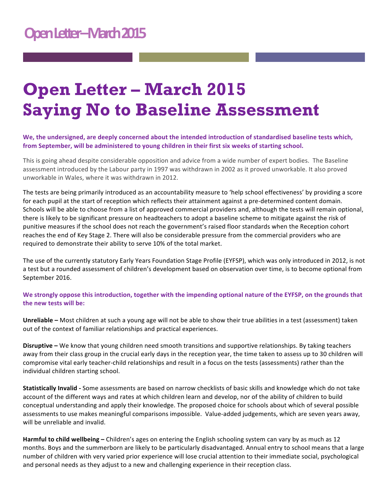## **Open Letter – March 2015 Saying No to Baseline Assessment**

We, the undersigned, are deeply concerned about the intended introduction of standardised baseline tests which, from September, will be administered to young children in their first six weeks of starting school.

This is going ahead despite considerable opposition and advice from a wide number of expert bodies. The Baseline assessment introduced by the Labour party in 1997 was withdrawn in 2002 as it proved unworkable. It also proved unworkable in Wales, where it was withdrawn in 2012.

The tests are being primarily introduced as an accountability measure to 'help school effectiveness' by providing a score for each pupil at the start of reception which reflects their attainment against a pre-determined content domain. Schools will be able to choose from a list of approved commercial providers and, although the tests will remain optional, there is likely to be significant pressure on headteachers to adopt a baseline scheme to mitigate against the risk of punitive measures if the school does not reach the government's raised floor standards when the Reception cohort reaches the end of Key Stage 2. There will also be considerable pressure from the commercial providers who are required to demonstrate their ability to serve 10% of the total market.

The use of the currently statutory Early Years Foundation Stage Profile (EYFSP), which was only introduced in 2012, is not a test but a rounded assessment of children's development based on observation over time, is to become optional from September 2016.

We strongly oppose this introduction, together with the impending optional nature of the EYFSP, on the grounds that the new tests will be:

**Unreliable** – Most children at such a young age will not be able to show their true abilities in a test (assessment) taken out of the context of familiar relationships and practical experiences.

**Disruptive** – We know that young children need smooth transitions and supportive relationships. By taking teachers away from their class group in the crucial early days in the reception year, the time taken to assess up to 30 children will compromise vital early teacher-child relationships and result in a focus on the tests (assessments) rather than the individual children starting school.

**Statistically Invalid** - Some assessments are based on narrow checklists of basic skills and knowledge which do not take account of the different ways and rates at which children learn and develop, nor of the ability of children to build conceptual understanding and apply their knowledge. The proposed choice for schools about which of several possible assessments to use makes meaningful comparisons impossible. Value-added judgements, which are seven years away, will be unreliable and invalid.

**Harmful to child wellbeing** – Children's ages on entering the English schooling system can vary by as much as 12 months. Boys and the summerborn are likely to be particularly disadvantaged. Annual entry to school means that a large number of children with very varied prior experience will lose crucial attention to their immediate social, psychological and personal needs as they adjust to a new and challenging experience in their reception class.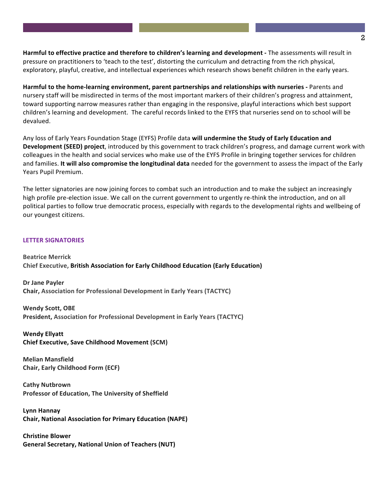**Harmful to effective practice and therefore to children's learning and development - The assessments will result in** pressure on practitioners to 'teach to the test', distorting the curriculum and detracting from the rich physical, exploratory, playful, creative, and intellectual experiences which research shows benefit children in the early years.

Harmful to the home-learning environment, parent partnerships and relationships with nurseries - Parents and nursery staff will be misdirected in terms of the most important markers of their children's progress and attainment, toward supporting narrow measures rather than engaging in the responsive, playful interactions which best support children's learning and development. The careful records linked to the EYFS that nurseries send on to school will be devalued.

Any loss of Early Years Foundation Stage (EYFS) Profile data will undermine the Study of Early Education and **Development (SEED) project**, introduced by this government to track children's progress, and damage current work with colleagues in the health and social services who make use of the EYFS Profile in bringing together services for children and families. It will also compromise the longitudinal data needed for the government to assess the impact of the Early Years Pupil Premium.

The letter signatories are now joining forces to combat such an introduction and to make the subject an increasingly high profile pre-election issue. We call on the current government to urgently re-think the introduction, and on all political parties to follow true democratic process, especially with regards to the developmental rights and wellbeing of our youngest citizens.

## **LETTER SIGNATORIES**

**Beatrice Merrick Chief Executive, British Association for Early Childhood Education (Early Education)** 

**Dr Jane Payler Chair, Association for Professional Development in Early Years (TACTYC)** 

**Wendy Scott, OBE President, Association for Professional Development in Early Years (TACTYC)** 

**Wendy Ellyatt Chief Executive, Save Childhood Movement (SCM)** 

**Melian Mansfield Chair, Early Childhood Form (ECF)** 

**Cathy Nutbrown Professor of Education, The University of Sheffield** 

**Lynn Hannay Chair, National Association for Primary Education (NAPE)** 

**Christine Blower** General Secretary, National Union of Teachers (NUT)